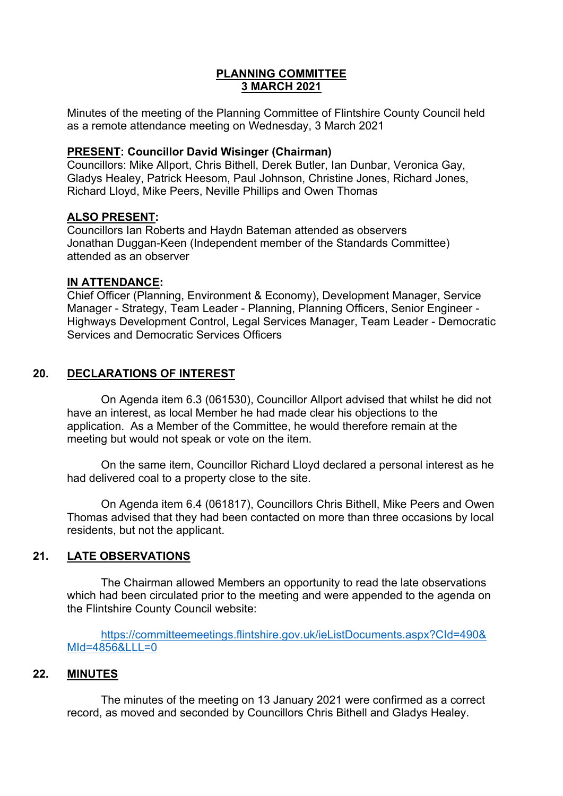## **PLANNING COMMITTEE 3 MARCH 2021**

Minutes of the meeting of the Planning Committee of Flintshire County Council held as a remote attendance meeting on Wednesday, 3 March 2021

#### **PRESENT: Councillor David Wisinger (Chairman)**

Councillors: Mike Allport, Chris Bithell, Derek Butler, Ian Dunbar, Veronica Gay, Gladys Healey, Patrick Heesom, Paul Johnson, Christine Jones, Richard Jones, Richard Lloyd, Mike Peers, Neville Phillips and Owen Thomas

## **ALSO PRESENT:**

Councillors Ian Roberts and Haydn Bateman attended as observers Jonathan Duggan-Keen (Independent member of the Standards Committee) attended as an observer

## **IN ATTENDANCE:**

Chief Officer (Planning, Environment & Economy), Development Manager, Service Manager - Strategy, Team Leader - Planning, Planning Officers, Senior Engineer - Highways Development Control, Legal Services Manager, Team Leader - Democratic Services and Democratic Services Officers

# **20. DECLARATIONS OF INTEREST**

On Agenda item 6.3 (061530), Councillor Allport advised that whilst he did not have an interest, as local Member he had made clear his objections to the application. As a Member of the Committee, he would therefore remain at the meeting but would not speak or vote on the item.

On the same item, Councillor Richard Lloyd declared a personal interest as he had delivered coal to a property close to the site.

On Agenda item 6.4 (061817), Councillors Chris Bithell, Mike Peers and Owen Thomas advised that they had been contacted on more than three occasions by local residents, but not the applicant.

# **21. LATE OBSERVATIONS**

The Chairman allowed Members an opportunity to read the late observations which had been circulated prior to the meeting and were appended to the agenda on the Flintshire County Council website:

[https://committeemeetings.flintshire.gov.uk/ieListDocuments.aspx?CId=490&](https://committeemeetings.flintshire.gov.uk/ieListDocuments.aspx?CId=490&MId=4856&LLL=0) [MId=4856&LLL=0](https://committeemeetings.flintshire.gov.uk/ieListDocuments.aspx?CId=490&MId=4856&LLL=0)

#### **22. MINUTES**

The minutes of the meeting on 13 January 2021 were confirmed as a correct record, as moved and seconded by Councillors Chris Bithell and Gladys Healey.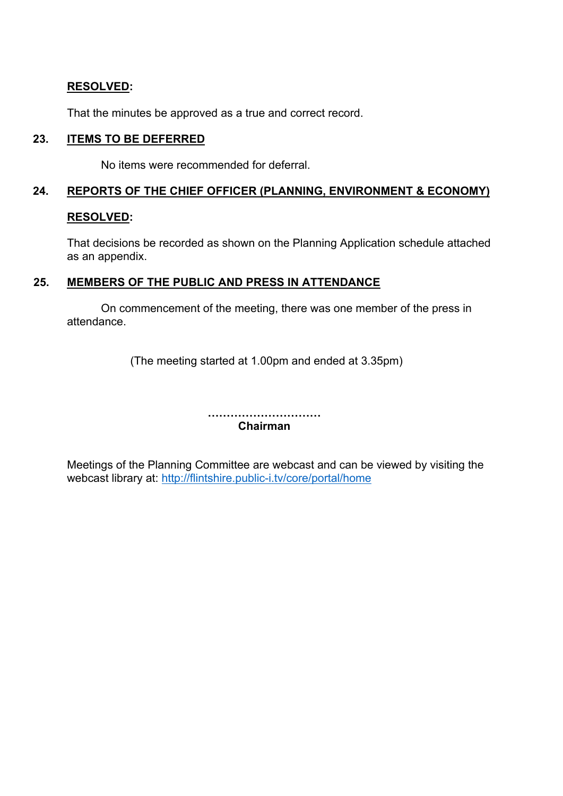## **RESOLVED:**

That the minutes be approved as a true and correct record.

#### **23. ITEMS TO BE DEFERRED**

No items were recommended for deferral.

#### **24. REPORTS OF THE CHIEF OFFICER (PLANNING, ENVIRONMENT & ECONOMY)**

#### **RESOLVED:**

That decisions be recorded as shown on the Planning Application schedule attached as an appendix.

## **25. MEMBERS OF THE PUBLIC AND PRESS IN ATTENDANCE**

On commencement of the meeting, there was one member of the press in attendance.

(The meeting started at 1.00pm and ended at 3.35pm)

**………………………… Chairman**

Meetings of the Planning Committee are webcast and can be viewed by visiting the webcast library at: <http://flintshire.public-i.tv/core/portal/home>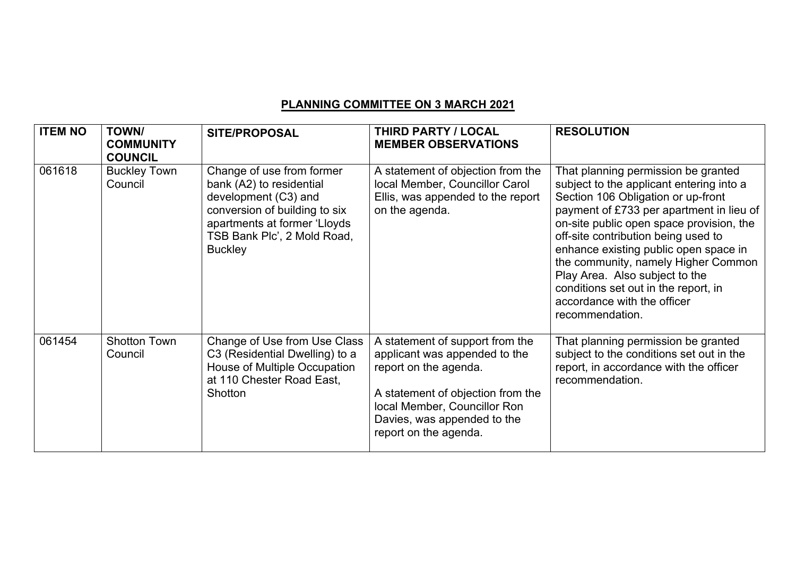# **PLANNING COMMITTEE ON 3 MARCH 2021**

| <b>ITEM NO</b> | <b>TOWN/</b><br><b>COMMUNITY</b><br><b>COUNCIL</b> | <b>SITE/PROPOSAL</b>                                                                                                                                                                            | THIRD PARTY / LOCAL<br><b>MEMBER OBSERVATIONS</b>                                                                                                                                                                      | <b>RESOLUTION</b>                                                                                                                                                                                                                                                                                                                                                                                                                                                |
|----------------|----------------------------------------------------|-------------------------------------------------------------------------------------------------------------------------------------------------------------------------------------------------|------------------------------------------------------------------------------------------------------------------------------------------------------------------------------------------------------------------------|------------------------------------------------------------------------------------------------------------------------------------------------------------------------------------------------------------------------------------------------------------------------------------------------------------------------------------------------------------------------------------------------------------------------------------------------------------------|
| 061618         | <b>Buckley Town</b><br>Council                     | Change of use from former<br>bank (A2) to residential<br>development (C3) and<br>conversion of building to six<br>apartments at former 'Lloyds<br>TSB Bank Plc', 2 Mold Road,<br><b>Buckley</b> | A statement of objection from the<br>local Member, Councillor Carol<br>Ellis, was appended to the report<br>on the agenda.                                                                                             | That planning permission be granted<br>subject to the applicant entering into a<br>Section 106 Obligation or up-front<br>payment of £733 per apartment in lieu of<br>on-site public open space provision, the<br>off-site contribution being used to<br>enhance existing public open space in<br>the community, namely Higher Common<br>Play Area. Also subject to the<br>conditions set out in the report, in<br>accordance with the officer<br>recommendation. |
| 061454         | <b>Shotton Town</b><br>Council                     | Change of Use from Use Class<br>C3 (Residential Dwelling) to a<br>House of Multiple Occupation<br>at 110 Chester Road East,<br>Shotton                                                          | A statement of support from the<br>applicant was appended to the<br>report on the agenda.<br>A statement of objection from the<br>local Member, Councillor Ron<br>Davies, was appended to the<br>report on the agenda. | That planning permission be granted<br>subject to the conditions set out in the<br>report, in accordance with the officer<br>recommendation.                                                                                                                                                                                                                                                                                                                     |